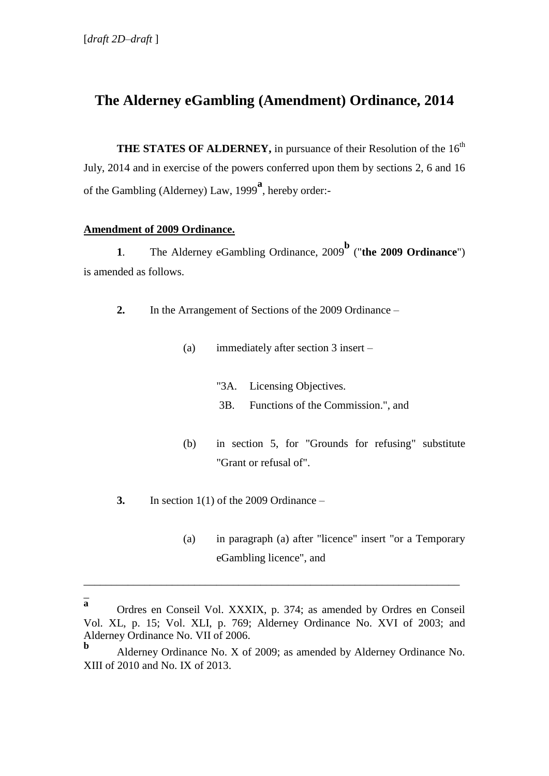# **The Alderney eGambling (Amendment) Ordinance, 2014**

**THE STATES OF ALDERNEY, in pursuance of their Resolution of the 16<sup>th</sup>** July, 2014 and in exercise of the powers conferred upon them by sections 2, 6 and 16 of the Gambling (Alderney) Law, 1999**<sup>a</sup>** , hereby order:-

## **Amendment of 2009 Ordinance.**

**1**. The Alderney eGambling Ordinance, 2009 **b** ("**the 2009 Ordinance**") is amended as follows.

**2.** In the Arrangement of Sections of the 2009 Ordinance –

- (a) immediately after section 3 insert
	- "3A. Licensing Objectives.
	- 3B. Functions of the Commission.", and
- (b) in section 5, for "Grounds for refusing" substitute "Grant or refusal of".
- **3.** In section 1(1) of the 2009 Ordinance
	- (a) in paragraph (a) after "licence" insert "or a Temporary eGambling licence", and

 $\overline{a}$ **a**

\_\_\_\_\_\_\_\_\_\_\_\_\_\_\_\_\_\_\_\_\_\_\_\_\_\_\_\_\_\_\_\_\_\_\_\_\_\_\_\_\_\_\_\_\_\_\_\_\_\_\_\_\_\_\_\_\_\_\_\_\_\_\_\_\_\_\_\_

Ordres en Conseil Vol. XXXIX, p. 374; as amended by Ordres en Conseil Vol. XL, p. 15; Vol. XLI, p. 769; Alderney Ordinance No. XVI of 2003; and Alderney Ordinance No. VII of 2006.

**b** Alderney Ordinance No. X of 2009; as amended by Alderney Ordinance No. XIII of 2010 and No. IX of 2013.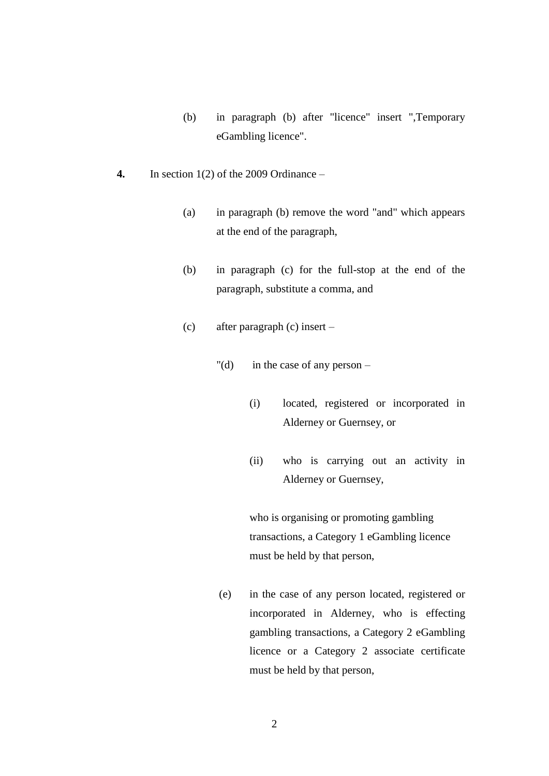- (b) in paragraph (b) after "licence" insert ",Temporary eGambling licence".
- **4.** In section 1(2) of the 2009 Ordinance
	- (a) in paragraph (b) remove the word "and" which appears at the end of the paragraph,
	- (b) in paragraph (c) for the full-stop at the end of the paragraph, substitute a comma, and
	- (c) after paragraph (c) insert
		- "(d) in the case of any person
			- (i) located, registered or incorporated in Alderney or Guernsey, or
			- (ii) who is carrying out an activity in Alderney or Guernsey,

who is organising or promoting gambling transactions, a Category 1 eGambling licence must be held by that person,

(e) in the case of any person located, registered or incorporated in Alderney, who is effecting gambling transactions, a Category 2 eGambling licence or a Category 2 associate certificate must be held by that person,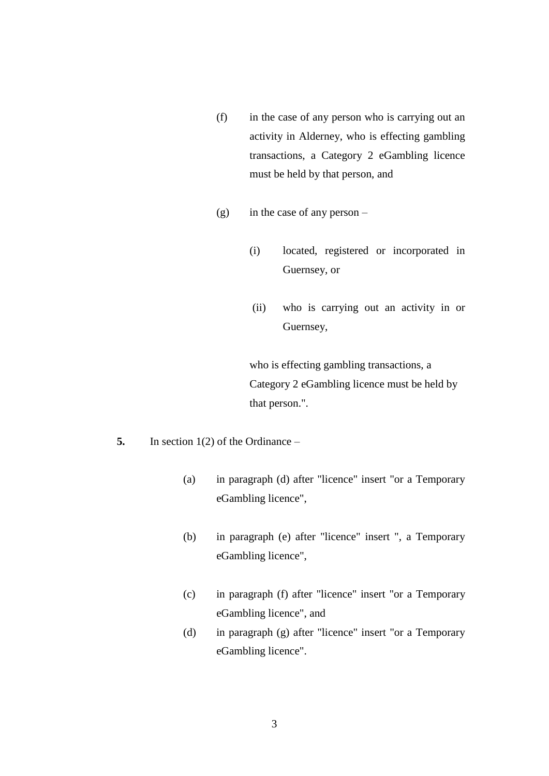- (f) in the case of any person who is carrying out an activity in Alderney, who is effecting gambling transactions, a Category 2 eGambling licence must be held by that person, and
- (g) in the case of any person
	- (i) located, registered or incorporated in Guernsey, or
	- (ii) who is carrying out an activity in or Guernsey,

who is effecting gambling transactions, a Category 2 eGambling licence must be held by that person.".

- **5.** In section 1(2) of the Ordinance
	- (a) in paragraph (d) after "licence" insert "or a Temporary eGambling licence",
	- (b) in paragraph (e) after "licence" insert ", a Temporary eGambling licence",
	- (c) in paragraph (f) after "licence" insert "or a Temporary eGambling licence", and
	- (d) in paragraph (g) after "licence" insert "or a Temporary eGambling licence".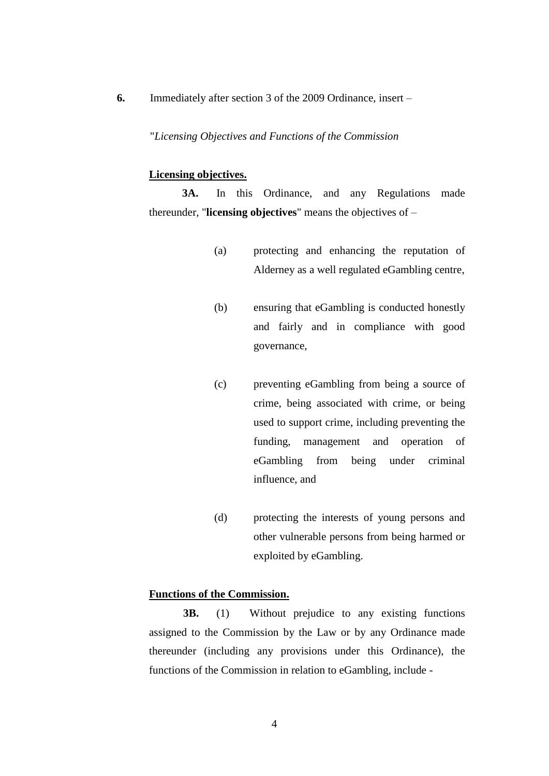**6.** Immediately after section 3 of the 2009 Ordinance, insert –

"*Licensing Objectives and Functions of the Commission*

### **Licensing objectives.**

**3A.** In this Ordinance, and any Regulations made thereunder, "**licensing objectives**" means the objectives of –

- (a) protecting and enhancing the reputation of Alderney as a well regulated eGambling centre,
- (b) ensuring that eGambling is conducted honestly and fairly and in compliance with good governance,
- (c) preventing eGambling from being a source of crime, being associated with crime, or being used to support crime, including preventing the funding, management and operation of eGambling from being under criminal influence, and
- (d) protecting the interests of young persons and other vulnerable persons from being harmed or exploited by eGambling.

# **Functions of the Commission.**

**3B.** (1) Without prejudice to any existing functions assigned to the Commission by the Law or by any Ordinance made thereunder (including any provisions under this Ordinance), the functions of the Commission in relation to eGambling, include -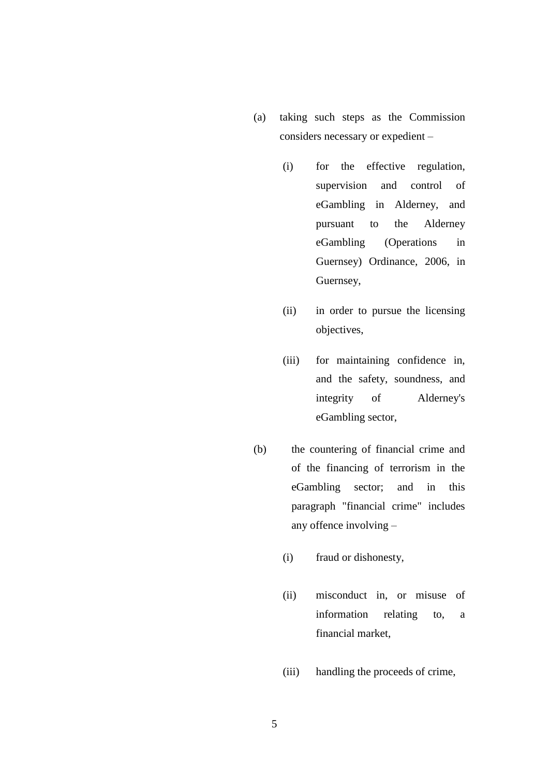- (a) taking such steps as the Commission considers necessary or expedient –
	- (i) for the effective regulation, supervision and control of eGambling in Alderney, and pursuant to the Alderney eGambling (Operations in Guernsey) Ordinance, 2006, in Guernsey,
	- (ii) in order to pursue the licensing objectives,
	- (iii) for maintaining confidence in, and the safety, soundness, and integrity of Alderney's eGambling sector,
- (b) the countering of financial crime and of the financing of terrorism in the eGambling sector; and in this paragraph "financial crime" includes any offence involving –
	- (i) fraud or dishonesty,
	- (ii) misconduct in, or misuse of information relating to, a financial market,
	- (iii) handling the proceeds of crime,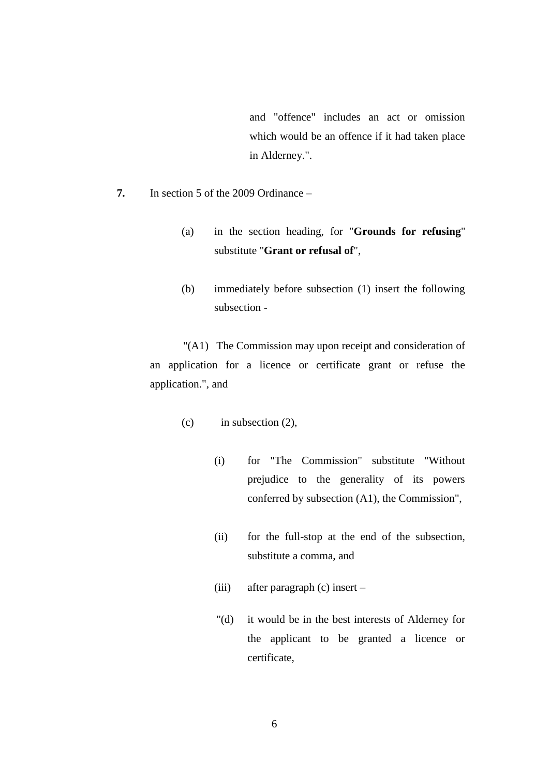and "offence" includes an act or omission which would be an offence if it had taken place in Alderney.".

- **7.** In section 5 of the 2009 Ordinance
	- (a) in the section heading, for "**Grounds for refusing**" substitute "**Grant or refusal of**",
	- (b) immediately before subsection (1) insert the following subsection -

"(A1) The Commission may upon receipt and consideration of an application for a licence or certificate grant or refuse the application.", and

- $(c)$  in subsection  $(2)$ ,
	- (i) for "The Commission" substitute "Without prejudice to the generality of its powers conferred by subsection (A1), the Commission",
	- (ii) for the full-stop at the end of the subsection, substitute a comma, and
	- (iii) after paragraph (c) insert –
	- "(d) it would be in the best interests of Alderney for the applicant to be granted a licence or certificate,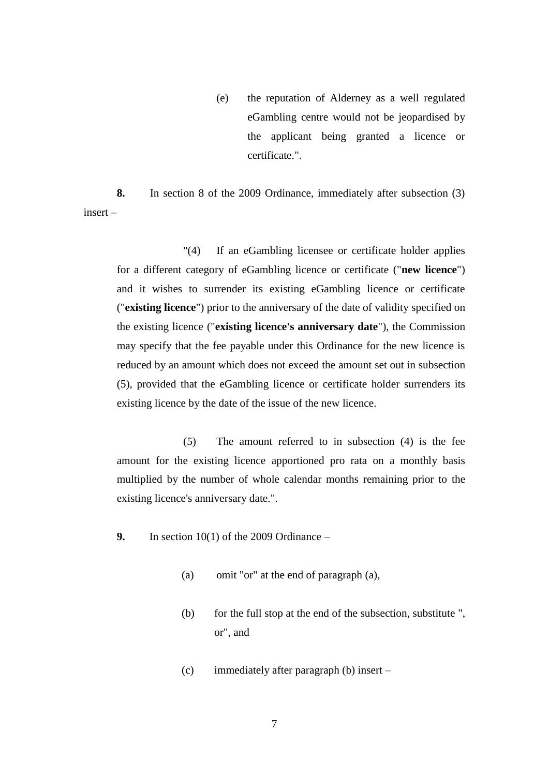(e) the reputation of Alderney as a well regulated eGambling centre would not be jeopardised by the applicant being granted a licence or certificate.".

**8.** In section 8 of the 2009 Ordinance, immediately after subsection (3) insert –

"(4) If an eGambling licensee or certificate holder applies for a different category of eGambling licence or certificate ("**new licence**") and it wishes to surrender its existing eGambling licence or certificate ("**existing licence**") prior to the anniversary of the date of validity specified on the existing licence ("**existing licence's anniversary date**"), the Commission may specify that the fee payable under this Ordinance for the new licence is reduced by an amount which does not exceed the amount set out in subsection (5), provided that the eGambling licence or certificate holder surrenders its existing licence by the date of the issue of the new licence.

(5) The amount referred to in subsection (4) is the fee amount for the existing licence apportioned pro rata on a monthly basis multiplied by the number of whole calendar months remaining prior to the existing licence's anniversary date.".

- **9.** In section 10(1) of the 2009 Ordinance
	- (a) omit "or" at the end of paragraph (a),
	- (b) for the full stop at the end of the subsection, substitute ", or", and
	- (c) immediately after paragraph (b) insert –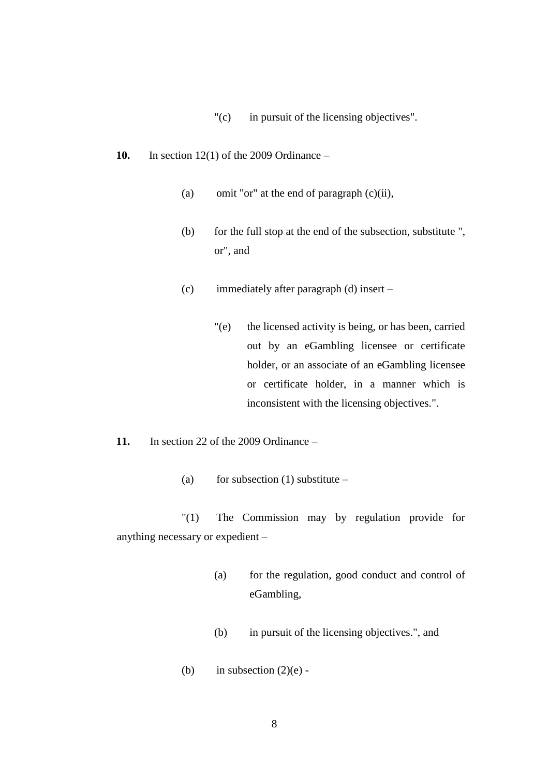- "(c) in pursuit of the licensing objectives".
- **10.** In section 12(1) of the 2009 Ordinance
	- (a) omit "or" at the end of paragraph (c)(ii),
	- (b) for the full stop at the end of the subsection, substitute ", or", and
	- (c) immediately after paragraph (d) insert
		- "(e) the licensed activity is being, or has been, carried out by an eGambling licensee or certificate holder, or an associate of an eGambling licensee or certificate holder, in a manner which is inconsistent with the licensing objectives.".
- **11.** In section 22 of the 2009 Ordinance
	- (a) for subsection (1) substitute –

"(1) The Commission may by regulation provide for anything necessary or expedient –

- (a) for the regulation, good conduct and control of eGambling,
- (b) in pursuit of the licensing objectives.", and
- (b) in subsection  $(2)(e)$  -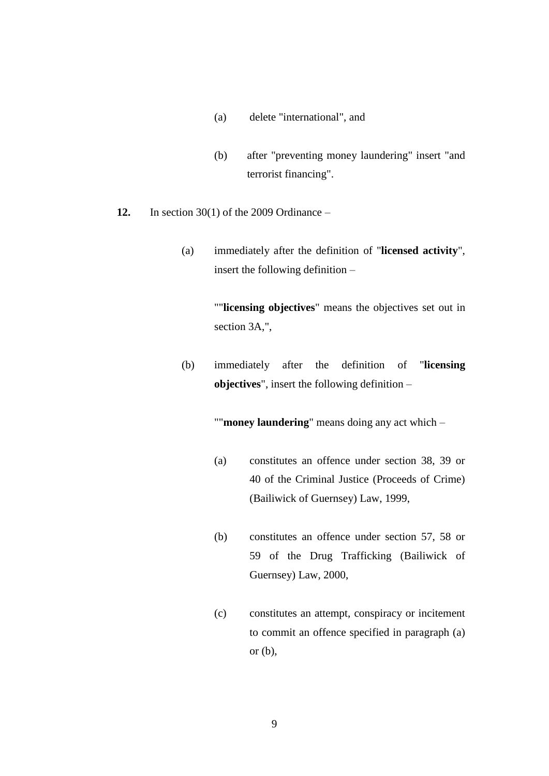- (a) delete "international", and
- (b) after "preventing money laundering" insert "and terrorist financing".
- **12.** In section 30(1) of the 2009 Ordinance
	- (a) immediately after the definition of "**licensed activity**", insert the following definition –

""**licensing objectives**" means the objectives set out in section 3A,",

(b) immediately after the definition of "**licensing objectives**", insert the following definition –

""**money laundering**" means doing any act which –

- (a) constitutes an offence under section 38, 39 or 40 of the Criminal Justice (Proceeds of Crime) (Bailiwick of Guernsey) Law, 1999,
- (b) constitutes an offence under section 57, 58 or 59 of the Drug Trafficking (Bailiwick of Guernsey) Law, 2000,
- (c) constitutes an attempt, conspiracy or incitement to commit an offence specified in paragraph (a) or (b),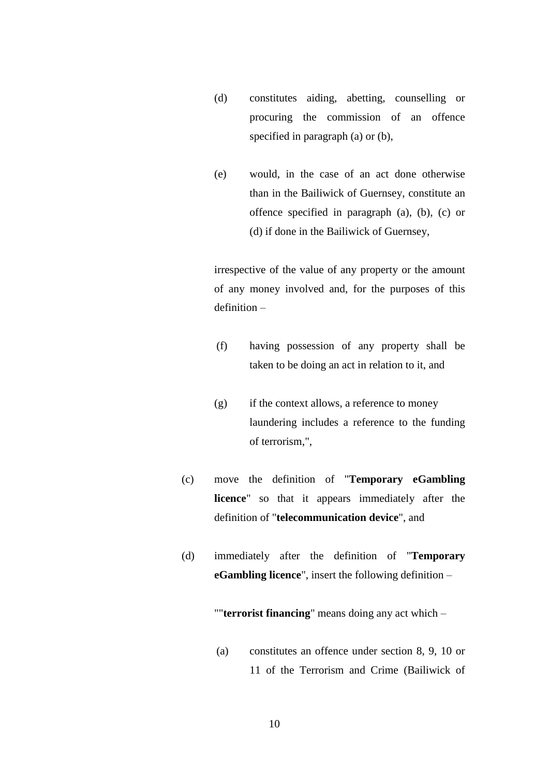- (d) constitutes aiding, abetting, counselling or procuring the commission of an offence specified in paragraph (a) or (b),
- (e) would, in the case of an act done otherwise than in the Bailiwick of Guernsey, constitute an offence specified in paragraph (a), (b), (c) or (d) if done in the Bailiwick of Guernsey,

irrespective of the value of any property or the amount of any money involved and, for the purposes of this definition –

- (f) having possession of any property shall be taken to be doing an act in relation to it, and
- $(g)$  if the context allows, a reference to money laundering includes a reference to the funding of terrorism,",
- (c) move the definition of "**Temporary eGambling licence**" so that it appears immediately after the definition of "**telecommunication device**", and
- (d) immediately after the definition of "**Temporary eGambling licence**", insert the following definition –

""**terrorist financing**" means doing any act which –

(a) constitutes an offence under section 8, 9, 10 or 11 of the Terrorism and Crime (Bailiwick of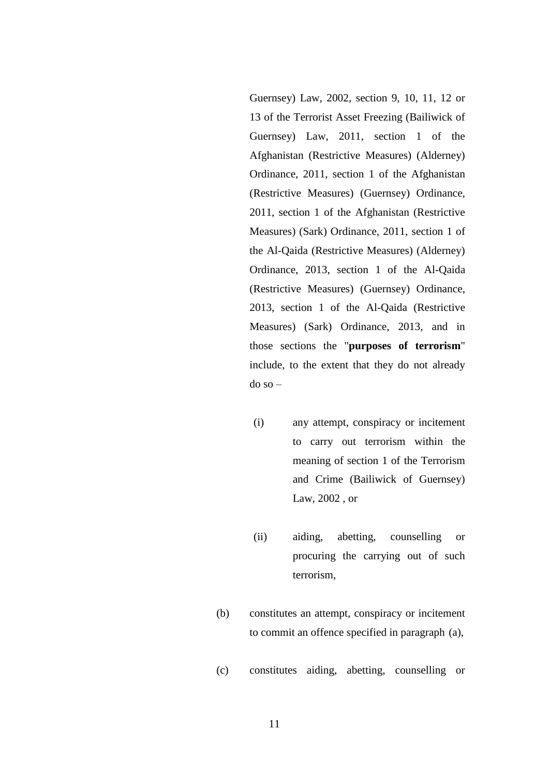Guernsey) Law, 2002, section 9, 10, 11, 12 or 13 of the Terrorist Asset Freezing (Bailiwick of Guernsey) Law, 2011, section 1 of the Afghanistan (Restrictive Measures) (Alderney) Ordinance, 2011, section 1 of the Afghanistan (Restrictive Measures) (Guernsey) Ordinance, 2011, section 1 of the Afghanistan (Restrictive Measures) (Sark) Ordinance, 2011, section 1 of the Al-Qaida (Restrictive Measures) (Alderney) Ordinance, 2013, section 1 of the Al-Qaida (Restrictive Measures) (Guernsey) Ordinance, 2013, section 1 of the Al-Qaida (Restrictive Measures) (Sark) Ordinance, 2013, and in those sections the "**purposes of terrorism**" include, to the extent that they do not already do so –

- (i) any attempt, conspiracy or incitement to carry out terrorism within the meaning of section 1 of the Terrorism and Crime (Bailiwick of Guernsey) Law, 2002 , or
- (ii) aiding, abetting, counselling or procuring the carrying out of such terrorism,
- (b) constitutes an attempt, conspiracy or incitement to commit an offence specified in paragraph (a),
- (c) constitutes aiding, abetting, counselling or

11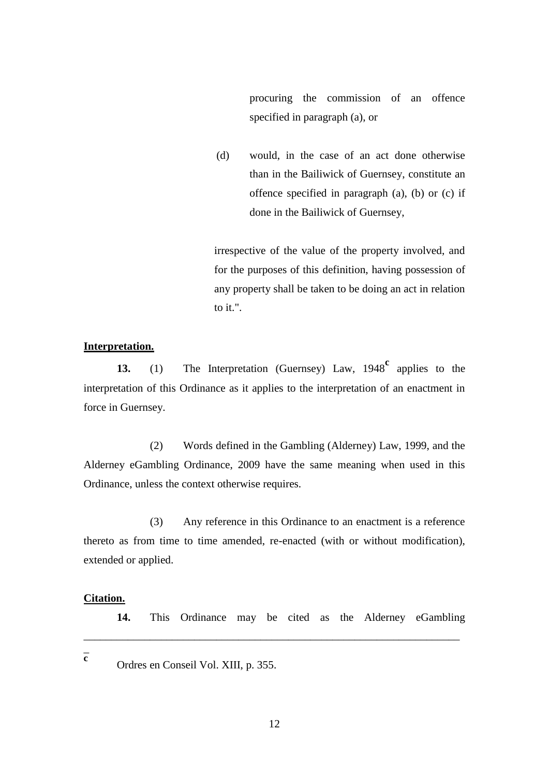procuring the commission of an offence specified in paragraph (a), or

(d) would, in the case of an act done otherwise than in the Bailiwick of Guernsey, constitute an offence specified in paragraph (a), (b) or (c) if done in the Bailiwick of Guernsey,

irrespective of the value of the property involved, and for the purposes of this definition, having possession of any property shall be taken to be doing an act in relation to it.".

#### **Interpretation.**

**13.** (1) The Interpretation (Guernsey) Law, 1948<sup>c</sup> applies to the interpretation of this Ordinance as it applies to the interpretation of an enactment in force in Guernsey.

(2) Words defined in the Gambling (Alderney) Law, 1999, and the Alderney eGambling Ordinance, 2009 have the same meaning when used in this Ordinance, unless the context otherwise requires.

(3) Any reference in this Ordinance to an enactment is a reference thereto as from time to time amended, re-enacted (with or without modification), extended or applied.

#### **Citation.**

**14.** This Ordinance may be cited as the Alderney eGambling

 $\overline{a}$ **c**

Ordres en Conseil Vol. XIII, p. 355.

\_\_\_\_\_\_\_\_\_\_\_\_\_\_\_\_\_\_\_\_\_\_\_\_\_\_\_\_\_\_\_\_\_\_\_\_\_\_\_\_\_\_\_\_\_\_\_\_\_\_\_\_\_\_\_\_\_\_\_\_\_\_\_\_\_\_\_\_